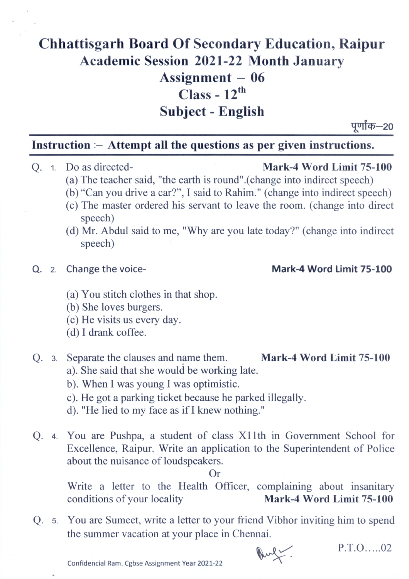# **Chhattisgarh Board Of Secondary Education, Raipur Academic Session 2021-22 Month January Assignment — 06 Class - 12th Subject - English**

पूर्णांक—20

### **Instruction :— Attempt all the questions as per given instructions.**

#### Q. 1. Do as directed- Mark-4 Word Limit 75-100

- (a) The teacher said, "the earth is round".(change into indirect speech)
- (b) "Can you drive a car?", I said to Rahim." (change into indirect speech)
- (c) The master ordered his servant to leave the room. (change into direct speech)
- (d) Mr. Abdul said to me, "Why are you late today?" (change into indirect speech)

#### **Q.** 2. Change the voice- **Mark-4 Word Limit 75-100**

- You stitch clothes in that shop.
- (b) She loves burgers.
- He visits us every day.
- (d) I drank coffee.

## Q. 3. Separate the clauses and name them. Mark-4 Word Limit 75-100

- a). She said that she would be working late.
- b). When I was young I was optimistic.
- c). He got a parking ticket because he parked illegally.
- d). "He lied to my face as if I knew nothing."
- **Q.** 4. You are Pushpa, a student of class XI lth in Government School for Excellence, Raipur. Write an application to the Superintendent of Police about the nuisance of loudspeakers.

Or

Write a letter to the Health Officer, complaining about insanitary conditions of your locality Mark-4 Word Limit 75-100

**Q.** 5. You are Sumeet, write a letter to your friend Vibhor inviting him to spend the summer vacation at your place in Chennai.



P.T.O.....02